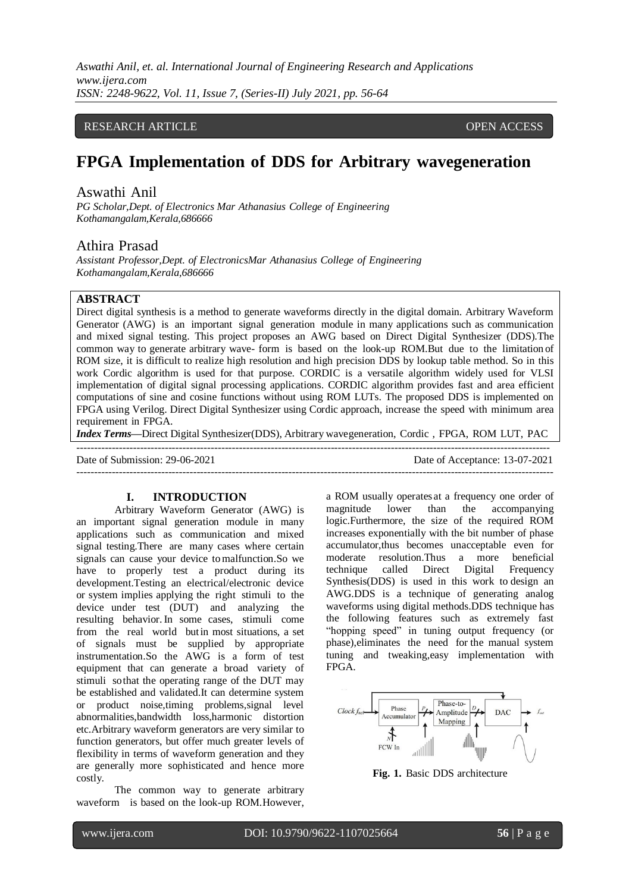*Aswathi Anil, et. al. International Journal of Engineering Research and Applications www.ijera.com ISSN: 2248-9622, Vol. 11, Issue 7, (Series-II) July 2021, pp. 56-64*

## RESEARCH ARTICLE **CONSERVERS** OPEN ACCESS

# **FPGA Implementation of DDS for Arbitrary wavegeneration**

# Aswathi Anil

*PG Scholar,Dept. of Electronics Mar Athanasius College of Engineering Kothamangalam,Kerala,686666*

# Athira Prasad

*Assistant Professor,Dept. of ElectronicsMar Athanasius College of Engineering Kothamangalam,Kerala,686666*

# **ABSTRACT**

Direct digital synthesis is a method to generate waveforms directly in the digital domain. Arbitrary Waveform Generator (AWG) is an important signal generation module in many applications such as communication and mixed signal testing. This project proposes an AWG based on Direct Digital Synthesizer (DDS).The common way to generate arbitrary wave- form is based on the look-up ROM.But due to the limitation of ROM size, it is difficult to realize high resolution and high precision DDS by lookup table method. So in this work Cordic algorithm is used for that purpose. CORDIC is a versatile algorithm widely used for VLSI implementation of digital signal processing applications. CORDIC algorithm provides fast and area efficient computations of sine and cosine functions without using ROM LUTs. The proposed DDS is implemented on FPGA using Verilog. Direct Digital Synthesizer using Cordic approach, increase the speed with minimum area requirement in FPGA.

*Index Terms***—**Direct Digital Synthesizer(DDS), Arbitrary wavegeneration, Cordic , FPGA, ROM LUT, PAC --------------------------------------------------------------------------------------------------------------------------------------

---------------------------------------------------------------------------------------------------------------------------------------

Date of Submission: 29-06-2021 Date of Acceptance: 13-07-2021

#### **I. INTRODUCTION**

Arbitrary Waveform Generator (AWG) is an important signal generation module in many applications such as communication and mixed signal testing.There are many cases where certain signals can cause your device tomalfunction.So we have to properly test a product during its development.Testing an electrical/electronic device or system implies applying the right stimuli to the device under test (DUT) and analyzing the resulting behavior.In some cases, stimuli come from the real world butin most situations, a set of signals must be supplied by appropriate instrumentation.So the AWG is a form of test equipment that can generate a broad variety of stimuli sothat the operating range of the DUT may be established and validated.It can determine system or product noise,timing problems,signal level abnormalities,bandwidth loss,harmonic distortion etc.Arbitrary waveform generators are very similar to function generators, but offer much greater levels of flexibility in terms of waveform generation and they are generally more sophisticated and hence more costly.

The common way to generate arbitrary waveform is based on the look-up ROM.However,

a ROM usually operates at a frequency one order of magnitude lower than the accompanying logic.Furthermore, the size of the required ROM increases exponentially with the bit number of phase accumulator,thus becomes unacceptable even for moderate resolution.Thus a more beneficial technique called Direct Digital Frequency Synthesis(DDS) is used in this work to design an AWG.DDS is a technique of generating analog waveforms using digital methods.DDS technique has the following features such as extremely fast "hopping speed" in tuning output frequency (or phase),eliminates the need for the manual system tuning and tweaking,easy implementation with FPGA.



**Fig. 1.** Basic DDS architecture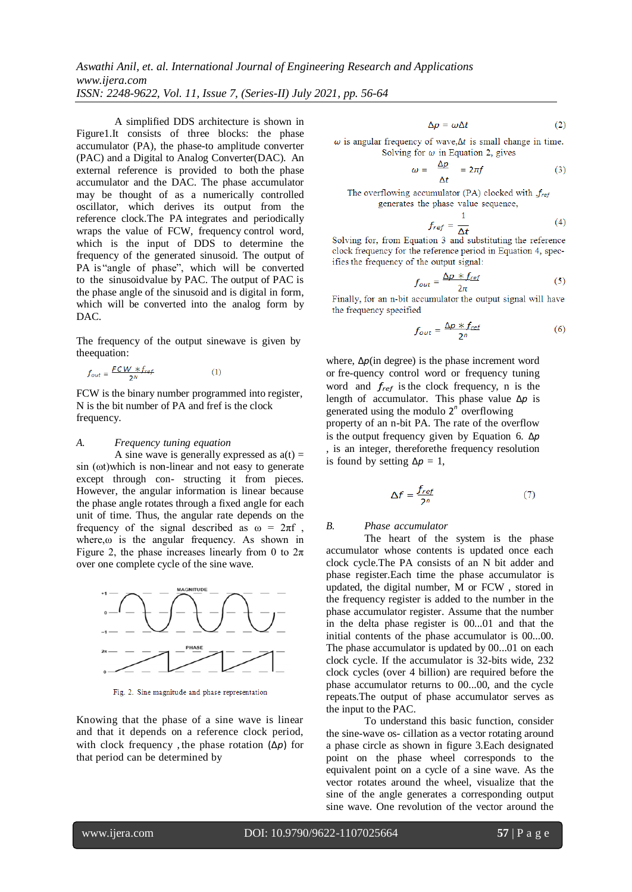*Aswathi Anil, et. al. International Journal of Engineering Research and Applications www.ijera.com ISSN: 2248-9622, Vol. 11, Issue 7, (Series-II) July 2021, pp. 56-64*

A simplified DDS architecture is shown in Figure1.It consists of three blocks: the phase accumulator (PA), the phase-to amplitude converter (PAC) and a Digital to Analog Converter(DAC). An external reference is provided to both the phase accumulator and the DAC. The phase accumulator may be thought of as a numerically controlled oscillator, which derives its output from the reference clock.The PA integrates and periodically wraps the value of FCW, frequency control word, which is the input of DDS to determine the frequency of the generated sinusoid. The output of PA is "angle of phase", which will be converted to the sinusoidvalue by PAC. The output of PAC is the phase angle of the sinusoid and is digital in form, which will be converted into the analog form by DAC.

The frequency of the output sinewave is given by theequation:

$$
f_{out} = \frac{FCW * f_{ref}}{2^N} \tag{1}
$$

FCW is the binary number programmed into register, N is the bit number of PA and fref is the clock frequency.

#### *A. Frequency tuning equation*

A sine wave is generally expressed as  $a(t) =$ sin (ωt)which is non-linear and not easy to generate except through con- structing it from pieces. However, the angular information is linear because the phase angle rotates through a fixed angle for each unit of time. Thus, the angular rate depends on the frequency of the signal described as  $\omega = 2\pi f$ , where, $\omega$  is the angular frequency. As shown in Figure 2, the phase increases linearly from 0 to  $2\pi$ over one complete cycle of the sine wave.



Fig. 2. Sine magnitude and phase representation

Knowing that the phase of a sine wave is linear and that it depends on a reference clock period, with clock frequency , the phase rotation (∆*p*) for that period can be determined by

 $\Delta p = \omega \Delta t$  $(2)$ 

 $\omega$  is angular frequency of wave,  $\Delta t$  is small change in time. Solving for  $\omega$  in Equation 2, gives

$$
\omega = \frac{\Delta p}{\Delta t} = 2\pi f \tag{3}
$$

The overflowing accumulator (PA) clocked with  $f_{ref}$ generates the phase value sequence,

$$
f_{ref} = \frac{1}{\Delta t} \tag{4}
$$

Solving for, from Equation 3 and substituting the reference clock frequency for the reference period in Equation 4, specifies the frequency of the output signal:

$$
f_{out} = \frac{\Delta p \times f_{ref}}{2\pi} \tag{5}
$$

Finally, for an n-bit accumulator the output signal will have the frequency specified

$$
f_{out} = \frac{\Delta p \times f_{ref}}{2^n}
$$
 (6)

where, ∆*p*(in degree) is the phase increment word or fre-quency control word or frequency tuning word and *fref* is the clock frequency, n is the length of accumulator. This phase value ∆*p* is generated using the modulo 2<sup>n</sup> overflowing property of an n-bit PA. The rate of the overflow is the output frequency given by Equation 6. ∆*p* , is an integer, thereforethe frequency resolution is found by setting  $\Delta p = 1$ ,

$$
\Delta f = \frac{f_{ref}}{2^n} \tag{7}
$$

#### *B. Phase accumulator*

The heart of the system is the phase accumulator whose contents is updated once each clock cycle.The PA consists of an N bit adder and phase register.Each time the phase accumulator is updated, the digital number, M or FCW , stored in the frequency register is added to the number in the phase accumulator register. Assume that the number in the delta phase register is 00...01 and that the initial contents of the phase accumulator is 00...00. The phase accumulator is updated by 00...01 on each clock cycle. If the accumulator is 32-bits wide, 232 clock cycles (over 4 billion) are required before the phase accumulator returns to 00...00, and the cycle repeats.The output of phase accumulator serves as the input to the PAC.

To understand this basic function, consider the sine-wave os- cillation as a vector rotating around a phase circle as shown in figure 3.Each designated point on the phase wheel corresponds to the equivalent point on a cycle of a sine wave. As the vector rotates around the wheel, visualize that the sine of the angle generates a corresponding output sine wave. One revolution of the vector around the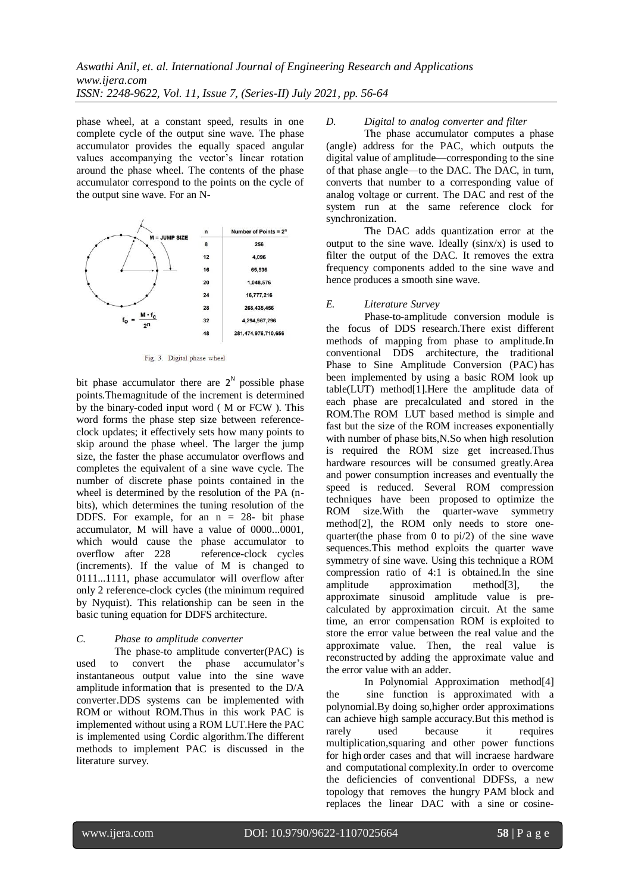phase wheel, at a constant speed, results in one complete cycle of the output sine wave. The phase accumulator provides the equally spaced angular values accompanying the vector's linear rotation around the phase wheel. The contents of the phase accumulator correspond to the points on the cycle of the output sine wave. For an N-



Fig. 3. Digital phase wheel

bit phase accumulator there are  $2^N$  possible phase points.Themagnitude of the increment is determined by the binary-coded input word ( M or FCW ). This word forms the phase step size between referenceclock updates; it effectively sets how many points to skip around the phase wheel. The larger the jump size, the faster the phase accumulator overflows and completes the equivalent of a sine wave cycle. The number of discrete phase points contained in the wheel is determined by the resolution of the PA (nbits), which determines the tuning resolution of the DDFS. For example, for an  $n = 28$ - bit phase accumulator, M will have a value of 0000...0001, which would cause the phase accumulator to overflow after 228 reference-clock cycles (increments). If the value of M is changed to 0111...1111, phase accumulator will overflow after only 2 reference-clock cycles (the minimum required by Nyquist). This relationship can be seen in the basic tuning equation for DDFS architecture.

#### *C. Phase to amplitude converter*

The phase-to amplitude converter(PAC) is used to convert the phase accumulator's instantaneous output value into the sine wave amplitude information that is presented to the D/A converter.DDS systems can be implemented with ROM or without ROM.Thus in this work PAC is implemented without using a ROM LUT.Here the PAC is implemented using Cordic algorithm.The different methods to implement PAC is discussed in the literature survey.

## *D. Digital to analog converter and filter*

The phase accumulator computes a phase (angle) address for the PAC, which outputs the digital value of amplitude—corresponding to the sine of that phase angle—to the DAC. The DAC, in turn, converts that number to a corresponding value of analog voltage or current. The DAC and rest of the system run at the same reference clock for synchronization.

The DAC adds quantization error at the output to the sine wave. Ideally  $(sinx/x)$  is used to filter the output of the DAC. It removes the extra frequency components added to the sine wave and hence produces a smooth sine wave.

## *E. Literature Survey*

Phase-to-amplitude conversion module is the focus of DDS research.There exist different methods of mapping from phase to amplitude.In conventional DDS architecture, the traditional Phase to Sine Amplitude Conversion (PAC) has been implemented by using a basic ROM look up table(LUT) method[1].Here the amplitude data of each phase are precalculated and stored in the ROM.The ROM LUT based method is simple and fast but the size of the ROM increases exponentially with number of phase bits,N.So when high resolution is required the ROM size get increased.Thus hardware resources will be consumed greatly.Area and power consumption increases and eventually the speed is reduced. Several ROM compression techniques have been proposed to optimize the ROM size.With the quarter-wave symmetry method[2], the ROM only needs to store onequarter(the phase from 0 to pi/2) of the sine wave sequences.This method exploits the quarter wave symmetry of sine wave. Using this technique a ROM compression ratio of 4:1 is obtained.In the sine amplitude approximation method[3], the approximate sinusoid amplitude value is precalculated by approximation circuit. At the same time, an error compensation ROM is exploited to store the error value between the real value and the approximate value. Then, the real value is reconstructed by adding the approximate value and the error value with an adder.

In Polynomial Approximation method[4] the sine function is approximated with a polynomial.By doing so,higher order approximations can achieve high sample accuracy.But this method is rarely used because it requires multiplication,squaring and other power functions for high order cases and that will incraese hardware and computational complexity.In order to overcome the deficiencies of conventional DDFSs, a new topology that removes the hungry PAM block and replaces the linear DAC with a sine or cosine-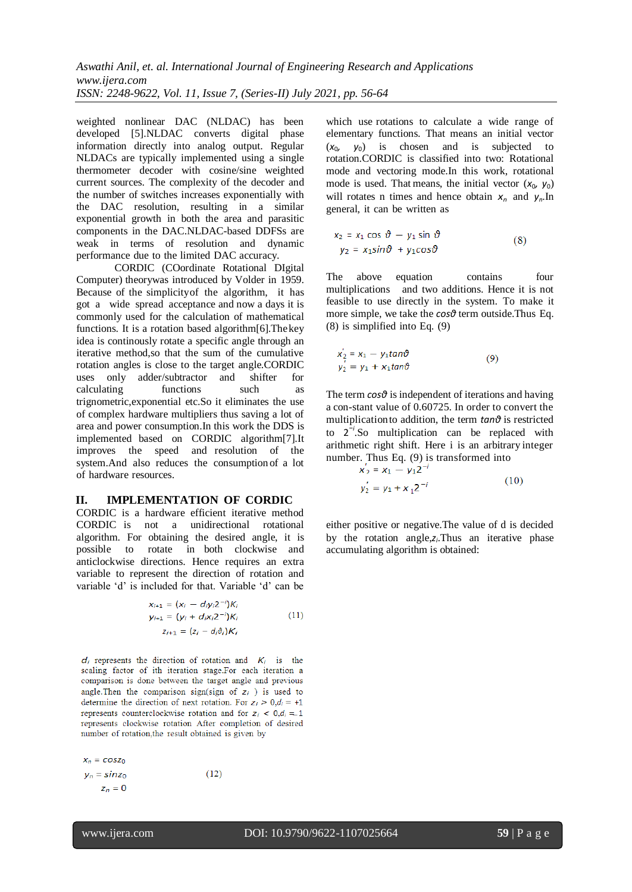weighted nonlinear DAC (NLDAC) has been developed [5].NLDAC converts digital phase information directly into analog output. Regular NLDACs are typically implemented using a single thermometer decoder with cosine/sine weighted current sources. The complexity of the decoder and the number of switches increases exponentially with the DAC resolution, resulting in a similar exponential growth in both the area and parasitic components in the DAC.NLDAC-based DDFSs are weak in terms of resolution and dynamic performance due to the limited DAC accuracy.

CORDIC (COordinate Rotational DIgital Computer) theorywas introduced by Volder in 1959. Because of the simplicityof the algorithm, it has got a wide spread acceptance and now a days it is commonly used for the calculation of mathematical functions. It is a rotation based algorithm[6]. The key idea is continously rotate a specific angle through an iterative method,so that the sum of the cumulative rotation angles is close to the target angle.CORDIC uses only adder/subtractor and shifter for calculating functions such as trignometric,exponential etc.So it eliminates the use of complex hardware multipliers thus saving a lot of area and power consumption.In this work the DDS is implemented based on CORDIC algorithm[7].It improves the speed and resolution of the system.And also reduces the consumption of a lot of hardware resources.

#### **II. IMPLEMENTATION OF CORDIC**

CORDIC is a hardware efficient iterative method CORDIC is not a unidirectional rotational algorithm. For obtaining the desired angle, it is possible to rotate in both clockwise and anticlockwise directions. Hence requires an extra variable to represent the direction of rotation and variable 'd' is included for that. Variable 'd' can be

$$
x_{i+1} = (x_i - d_i y_i 2^{-i}) K_i
$$
  
\n
$$
y_{i+1} = (y_i + d_i x_i 2^{-i}) K_i
$$
  
\n
$$
z_{i+1} = (z_i - d_i \vartheta_i) K_i
$$
\n(11)

 $d_i$  represents the direction of rotation and  $K_i$  is the scaling factor of ith iteration stage.For each iteration a comparison is done between the target angle and previous angle. Then the comparison sign(sign of  $z_i$ ) is used to determine the direction of next rotation. For  $z_i > 0, d_i = +1$ represents counterclockwise rotation and for  $z_i < 0, d_i = 1$ represents clockwise rotation After completion of desired number of rotation, the result obtained is given by

 $x_n = \cos z_0$  $y_n = \sin z_0$  $(12)$  $z_n = 0$ 

which use rotations to calculate a wide range of elementary functions. That means an initial vector  $(x_0, y_0)$  is chosen and is subjected to rotation.CORDIC is classified into two: Rotational mode and vectoring mode.In this work, rotational mode is used. That means, the initial vector  $(x_0, y_0)$ will rotates n times and hence obtain  $x_n$  and  $y_n$ . In general, it can be written as

$$
x_2 = x_1 \cos \vartheta - y_1 \sin \vartheta
$$
  
\n
$$
y_2 = x_1 \sin \vartheta + y_1 \cos \vartheta
$$
 (8)

The above equation contains four multiplications and two additions. Hence it is not feasible to use directly in the system. To make it more simple, we take the *cosθ* term outside.Thus Eq. (8) is simplified into Eq. (9)

$$
x'_{2} = x_{1} - y_{1} \tan \theta
$$
  
\n
$$
y'_{2} = y_{1} + x_{1} \tan \theta
$$
\n(9)

The term *cosθ* is independent of iterations and having a con-stant value of 0.60725. In order to convert the multiplicationto addition, the term *tanθ* is restricted to 2 *−i* .So multiplication can be replaced with arithmetic right shift. Here i is an arbitrary integer number. Thus Eq. (9) is transformed into<br> $x_2 = x_1 - y_1 2^{-i}$ 

$$
x_2 = x_1 - y_1 z
$$
  
\n
$$
y_2' = y_1 + x_1 z^{-i}
$$
\n(10)

either positive or negative.The value of d is decided by the rotation angle, z<sub>*i*</sub>. Thus an iterative phase accumulating algorithm is obtained: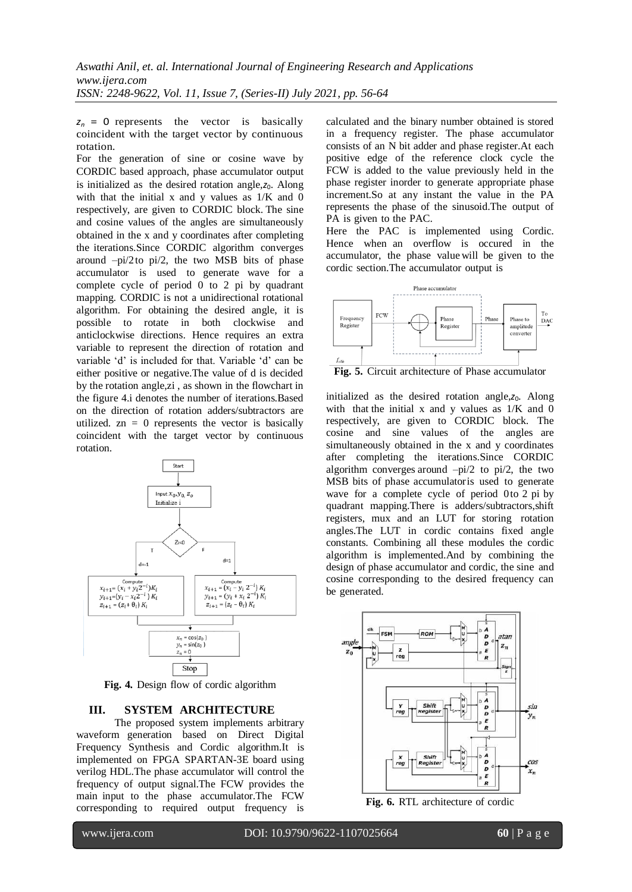$z_n = 0$  represents the vector is basically coincident with the target vector by continuous rotation.

For the generation of sine or cosine wave by CORDIC based approach, phase accumulator output is initialized as the desired rotation angle, $z_0$ . Along with that the initial x and y values as 1/K and 0 respectively, are given to CORDIC block. The sine and cosine values of the angles are simultaneously obtained in the x and y coordinates after completing the iterations.Since CORDIC algorithm converges around –pi/2to pi/2, the two MSB bits of phase accumulator is used to generate wave for a complete cycle of period 0 to 2 pi by quadrant mapping. CORDIC is not a unidirectional rotational algorithm. For obtaining the desired angle, it is possible to rotate in both clockwise and anticlockwise directions. Hence requires an extra variable to represent the direction of rotation and variable 'd' is included for that. Variable 'd' can be either positive or negative.The value of d is decided by the rotation angle,zi , as shown in the flowchart in the figure 4.i denotes the number of iterations.Based on the direction of rotation adders/subtractors are utilized.  $zn = 0$  represents the vector is basically coincident with the target vector by continuous rotation.



**Fig. 4.** Design flow of cordic algorithm

## **III. SYSTEM ARCHITECTURE**

The proposed system implements arbitrary waveform generation based on Direct Digital Frequency Synthesis and Cordic algorithm.It is implemented on FPGA SPARTAN-3E board using verilog HDL.The phase accumulator will control the frequency of output signal.The FCW provides the main input to the phase accumulator.The FCW corresponding to required output frequency is

calculated and the binary number obtained is stored in a frequency register. The phase accumulator consists of an N bit adder and phase register.At each positive edge of the reference clock cycle the FCW is added to the value previously held in the phase register inorder to generate appropriate phase increment.So at any instant the value in the PA represents the phase of the sinusoid.The output of PA is given to the PAC.

Here the PAC is implemented using Cordic. Hence when an overflow is occured in the accumulator, the phase value will be given to the cordic section.The accumulator output is



**Fig. 5.** Circuit architecture of Phase accumulator

initialized as the desired rotation angle, $z_0$ . Along with that the initial x and y values as 1/K and 0 respectively, are given to CORDIC block. The cosine and sine values of the angles are simultaneously obtained in the x and y coordinates after completing the iterations.Since CORDIC algorithm converges around  $-pi/2$  to  $pi/2$ , the two MSB bits of phase accumulatoris used to generate wave for a complete cycle of period 0to 2 pi by quadrant mapping.There is adders/subtractors,shift registers, mux and an LUT for storing rotation angles.The LUT in cordic contains fixed angle constants. Combining all these modules the cordic algorithm is implemented.And by combining the design of phase accumulator and cordic, the sine and cosine corresponding to the desired frequency can be generated.



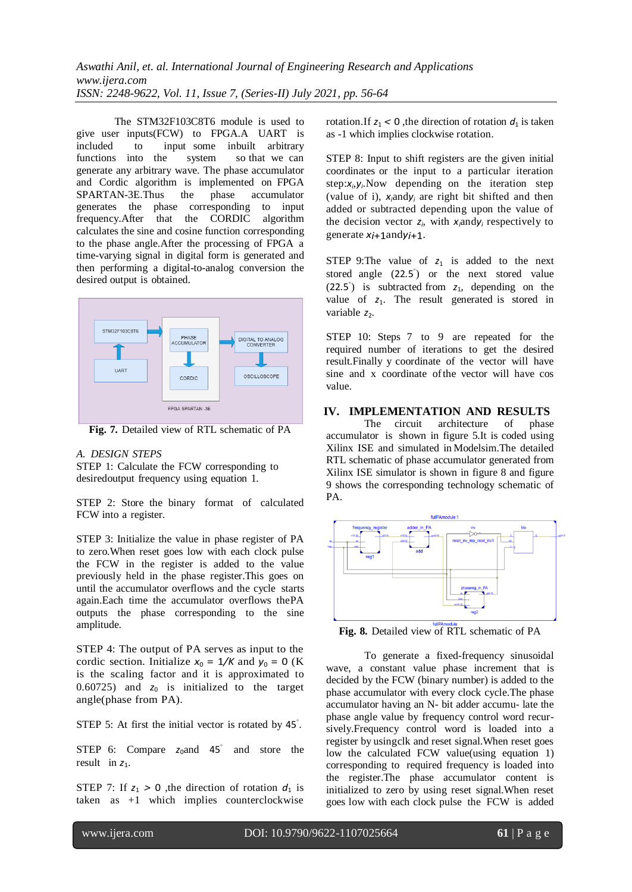The STM32F103C8T6 module is used to give user inputs(FCW) to FPGA.A UART is included to input some inbuilt arbitrary functions into the system so that we can generate any arbitrary wave. The phase accumulator and Cordic algorithm is implemented on FPGA SPARTAN-3E.Thus the phase accumulator generates the phase corresponding to input frequency.After that the CORDIC algorithm calculates the sine and cosine function corresponding to the phase angle.After the processing of FPGA a time-varying signal in digital form is generated and then performing a digital-to-analog conversion the desired output is obtained.



**Fig. 7.** Detailed view of RTL schematic of PA

## *A. DESIGN STEPS*

STEP 1: Calculate the FCW corresponding to desiredoutput frequency using equation 1.

STEP 2: Store the binary format of calculated FCW into a register.

STEP 3: Initialize the value in phase register of PA to zero.When reset goes low with each clock pulse the FCW in the register is added to the value previously held in the phase register.This goes on until the accumulator overflows and the cycle starts again.Each time the accumulator overflows thePA outputs the phase corresponding to the sine amplitude.

STEP 4: The output of PA serves as input to the cordic section. Initialize  $x_0 = 1/K$  and  $y_0 = 0$  (K) is the scaling factor and it is approximated to 0.60725) and  $z_0$  is initialized to the target angle(phase from PA).

STEP 5: At first the initial vector is rotated by 45*◦* .

STEP 6: Compare  $z_0$  and 45<sup>°</sup> and store the result in  $z_1$ .

STEP 7: If  $z_1 > 0$ , the direction of rotation  $d_1$  is taken as +1 which implies counterclockwise

rotation. If  $z_1 < 0$ , the direction of rotation  $d_1$  is taken as -1 which implies clockwise rotation.

STEP 8: Input to shift registers are the given initial coordinates or the input to a particular iteration step:*x<sup>i</sup>* ,*yi* .Now depending on the iteration step (value of i), *xi*and*y<sup>i</sup>* are right bit shifted and then added or subtracted depending upon the value of the decision vector  $z_i$ , with  $x_i$  and  $y_i$  respectively to generate *xi*+1and*yi*+1.

STEP 9: The value of  $z_1$  is added to the next stored angle (22.5<sup>°</sup>) or the next stored value (22*.*5 *◦* ) is subtracted from *z*1, depending on the value of  $z_1$ . The result generated is stored in variable  $z_2$ .

STEP 10: Steps 7 to 9 are repeated for the required number of iterations to get the desired result.Finally y coordinate of the vector will have sine and x coordinate ofthe vector will have cos value.

# **IV. IMPLEMENTATION AND RESULTS**

The circuit architecture of phase accumulator is shown in figure 5.It is coded using Xilinx ISE and simulated in Modelsim.The detailed RTL schematic of phase accumulator generated from Xilinx ISE simulator is shown in figure 8 and figure 9 shows the corresponding technology schematic of PA.



**Fig. 8.** Detailed view of RTL schematic of PA

To generate a fixed-frequency sinusoidal wave, a constant value phase increment that is decided by the FCW (binary number) is added to the phase accumulator with every clock cycle.The phase accumulator having an N- bit adder accumu- late the phase angle value by frequency control word recursively.Frequency control word is loaded into a register by usingclk and reset signal.When reset goes low the calculated FCW value(using equation 1) corresponding to required frequency is loaded into the register.The phase accumulator content is initialized to zero by using reset signal.When reset goes low with each clock pulse the FCW is added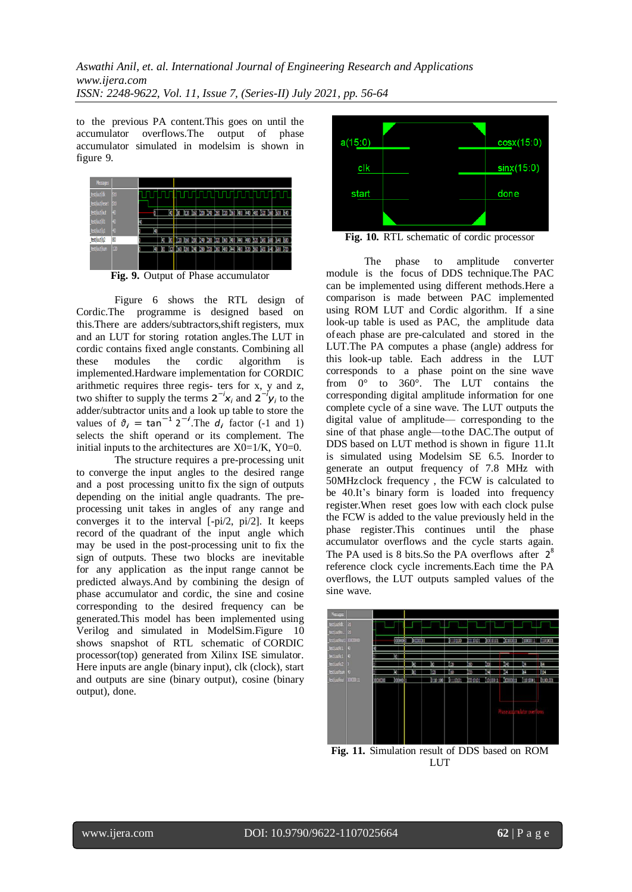to the previous PA content.This goes on until the accumulator overflows.The output of phase accumulator simulated in modelsim is shown in figure 9.



Figure 6 shows the RTL design of Cordic.The programme is designed based on this.There are adders/subtractors,shift registers, mux and an LUT for storing rotation angles.The LUT in cordic contains fixed angle constants. Combining all these modules the cordic algorithm is implemented.Hardware implementation for CORDIC arithmetic requires three regis- ters for x, y and z, two shifter to supply the terms  $2^{-i}x_i$  and  $2^{-i}y_i$  to the adder/subtractor units and a look up table to store the values of  $\vartheta_i = \tan^{-1} 2^{-i}$ . The  $d_i$  factor (-1 and 1) selects the shift operand or its complement. The initial inputs to the architectures are  $X0=1/K$ ,  $Y0=0$ .

The structure requires a pre-processing unit to converge the input angles to the desired range and a post processing unitto fix the sign of outputs depending on the initial angle quadrants. The preprocessing unit takes in angles of any range and converges it to the interval [-pi/2, pi/2]. It keeps record of the quadrant of the input angle which may be used in the post-processing unit to fix the sign of outputs. These two blocks are inevitable for any application as the input range cannot be predicted always.And by combining the design of phase accumulator and cordic, the sine and cosine corresponding to the desired frequency can be generated.This model has been implemented using Verilog and simulated in ModelSim.Figure 10 shows snapshot of RTL schematic of CORDIC processor(top) generated from Xilinx ISE simulator. Here inputs are angle (binary input), clk (clock), start and outputs are sine (binary output), cosine (binary output), done.



**Fig. 10.** RTL schematic of cordic processor

The phase to amplitude converter module is the focus of DDS technique.The PAC can be implemented using different methods.Here a comparison is made between PAC implemented using ROM LUT and Cordic algorithm. If a sine look-up table is used as PAC, the amplitude data of each phase are pre-calculated and stored in the LUT.The PA computes a phase (angle) address for this look-up table. Each address in the LUT corresponds to a phase point on the sine wave from 0° to 360°. The LUT contains the corresponding digital amplitude information for one complete cycle of a sine wave. The LUT outputs the digital value of amplitude— corresponding to the sine of that phase angle—tothe DAC.The output of DDS based on LUT method is shown in figure 11.It is simulated using Modelsim SE 6.5. Inorder to generate an output frequency of 7.8 MHz with 50MHzclock frequency , the FCW is calculated to be 40.It's binary form is loaded into frequency register.When reset goes low with each clock pulse the FCW is added to the value previously held in the phase register.This continues until the phase accumulator overflows and the cycle starts again. The PA used is 8 bits. So the PA overflows after  $2^8$ reference clock cycle increments.Each time the PA overflows, the LUT outputs sampled values of the sine wave.



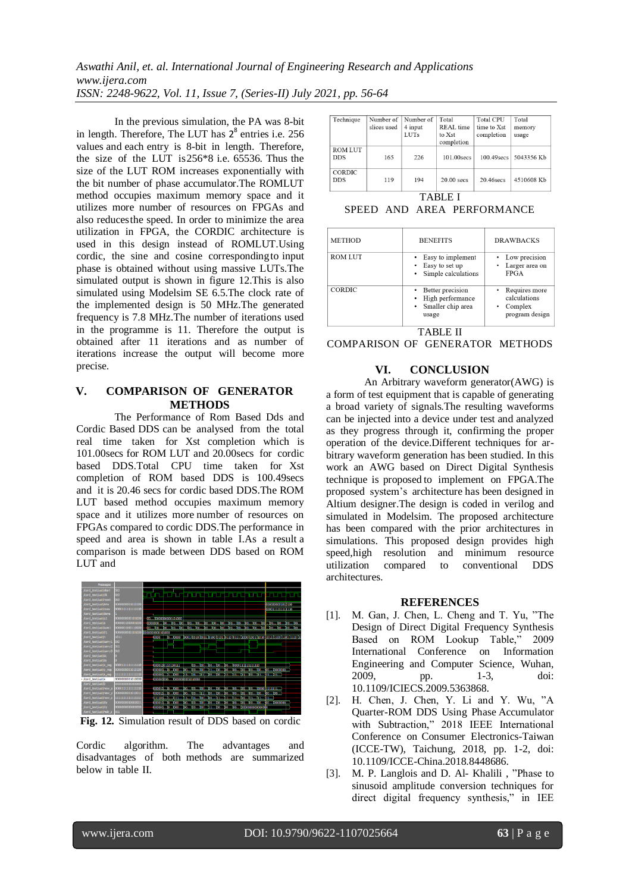*Aswathi Anil, et. al. International Journal of Engineering Research and Applications www.ijera.com ISSN: 2248-9622, Vol. 11, Issue 7, (Series-II) July 2021, pp. 56-64*

In the previous simulation, the PA was 8-bit in length. Therefore, The LUT has  $2^8$  entries i.e. 256 values and each entry is 8-bit in length. Therefore, the size of the LUT is  $256*8$  i.e.  $65536$ . Thus the size of the LUT ROM increases exponentially with the bit number of phase accumulator.The ROMLUT method occupies maximum memory space and it utilizes more number of resources on FPGAs and also reducesthe speed. In order to minimize the area utilization in FPGA, the CORDIC architecture is used in this design instead of ROMLUT.Using cordic, the sine and cosine correspondingto input phase is obtained without using massive LUTs.The simulated output is shown in figure 12.This is also simulated using Modelsim SE 6.5.The clock rate of the implemented design is 50 MHz.The generated frequency is 7.8 MHz.The number of iterations used in the programme is 11. Therefore the output is obtained after 11 iterations and as number of iterations increase the output will become more precise.

# **V. COMPARISON OF GENERATOR METHODS**

The Performance of Rom Based Dds and Cordic Based DDS can be analysed from the total real time taken for Xst completion which is 101.00secs for ROM LUT and 20.00secs for cordic based DDS.Total CPU time taken for Xst completion of ROM based DDS is 100.49secs and it is 20.46 secs for cordic based DDS.The ROM LUT based method occupies maximum memory space and it utilizes more number of resources on FPGAs compared to cordic DDS.The performance in speed and area is shown in table I.As a result a comparison is made between DDS based on ROM LUT and



**Fig. 12.** Simulation result of DDS based on cordic

Cordic algorithm. The advantages and disadvantages of both methods are summarized below in table II.

| Technique                    | Number of<br>slices used | Number of<br>4 input<br><b>LUTs</b> | Total<br>REAL time<br>to Xst<br>completion | <b>Total CPU</b><br>time to Xst<br>completion | Total<br>memory<br>usage |  |  |
|------------------------------|--------------------------|-------------------------------------|--------------------------------------------|-----------------------------------------------|--------------------------|--|--|
| <b>ROM LUT</b><br><b>DDS</b> | 165                      | 226                                 | 101.00 secs                                | 100.49 secs                                   | 5043356 Kb               |  |  |
| <b>CORDIC</b><br><b>DDS</b>  | 119                      | 194                                 | $20.00$ secs                               | 20.46 secs                                    | 4510608 Kb               |  |  |
| <b></b>                      |                          |                                     |                                            |                                               |                          |  |  |

TABLE I

SPEED AND AREA PERFORMANCE

| <b>METHOD</b>  | <b>BENEFITS</b>                                                    | <b>DRAWBACKS</b>                                           |  |  |  |
|----------------|--------------------------------------------------------------------|------------------------------------------------------------|--|--|--|
| <b>ROM LUT</b> | Easy to implement<br>Easy to set up<br>• Simple calculations       | Low precision<br>Larger area on<br><b>FPGA</b>             |  |  |  |
| <b>CORDIC</b>  | Better precision<br>High performance<br>Smaller chip area<br>usage | Requires more<br>calculations<br>Complex<br>program design |  |  |  |
|                |                                                                    |                                                            |  |  |  |

COMPARISON OF GENERATOR METHODS

# **VI. CONCLUSION**

An Arbitrary waveform generator(AWG) is a form of test equipment that is capable of generating a broad variety of signals.The resulting waveforms can be injected into a device under test and analyzed as they progress through it, confirming the proper operation of the device.Different techniques for arbitrary waveform generation has been studied. In this work an AWG based on Direct Digital Synthesis technique is proposed to implement on FPGA.The proposed system's architecture has been designed in Altium designer.The design is coded in verilog and simulated in Modelsim. The proposed architecture has been compared with the prior architectures in simulations. This proposed design provides high speed,high resolution and minimum resource utilization compared to conventional DDS architectures.

#### **REFERENCES**

- [1]. M. Gan, J. Chen, L. Cheng and T. Yu, "The Design of Direct Digital Frequency Synthesis Based on ROM Lookup Table," 2009 International Conference on Information Engineering and Computer Science, Wuhan, 2009, pp. 1-3, doi: 10.1109/ICIECS.2009.5363868.
- [2]. H. Chen, J. Chen, Y. Li and Y. Wu, "A Quarter-ROM DDS Using Phase Accumulator with Subtraction," 2018 IEEE International Conference on Consumer Electronics-Taiwan (ICCE-TW), Taichung, 2018, pp. 1-2, doi: 10.1109/ICCE-China.2018.8448686.
- [3]. M. P. Langlois and D. Al- Khalili , "Phase to sinusoid amplitude conversion techniques for direct digital frequency synthesis," in IEE